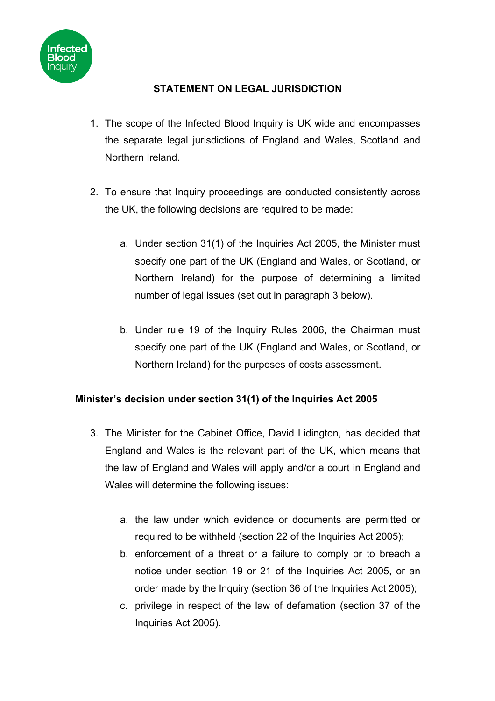

## **STATEMENT ON LEGAL JURISDICTION**

- 1. The scope of the Infected Blood Inquiry is UK wide and encompasses the separate legal jurisdictions of England and Wales, Scotland and Northern Ireland.
- 2. To ensure that Inquiry proceedings are conducted consistently across the UK, the following decisions are required to be made:
	- a. Under section 31(1) of the Inquiries Act 2005, the Minister must specify one part of the UK (England and Wales, or Scotland, or Northern Ireland) for the purpose of determining a limited number of legal issues (set out in paragraph 3 below).
	- b. Under rule 19 of the Inquiry Rules 2006, the Chairman must specify one part of the UK (England and Wales, or Scotland, or Northern Ireland) for the purposes of costs assessment.

## **Minister's decision under section 31(1) of the Inquiries Act 2005**

- 3. The Minister for the Cabinet Office, David Lidington, has decided that England and Wales is the relevant part of the UK, which means that the law of England and Wales will apply and/or a court in England and Wales will determine the following issues:
	- a. the law under which evidence or documents are permitted or required to be withheld (section 22 of the Inquiries Act 2005);
	- b. enforcement of a threat or a failure to comply or to breach a notice under section 19 or 21 of the Inquiries Act 2005, or an order made by the Inquiry (section 36 of the Inquiries Act 2005);
	- c. privilege in respect of the law of defamation (section 37 of the Inquiries Act 2005).